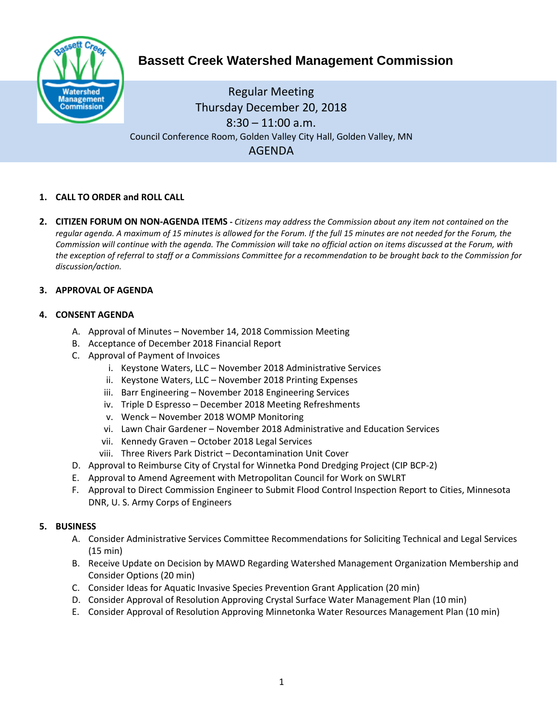

# **Bassett Creek Watershed Management Commission**

Regular Meeting Thursday December 20, 2018  $8:30 - 11:00$  a.m. Council Conference Room, Golden Valley City Hall, Golden Valley, MN AGENDA

# **1. CALL TO ORDER and ROLL CALL**

**2. CITIZEN FORUM ON NON-AGENDA ITEMS -** *Citizens may address the Commission about any item not contained on the regular agenda. A maximum of 15 minutes is allowed for the Forum. If the full 15 minutes are not needed for the Forum, the Commission will continue with the agenda. The Commission will take no official action on items discussed at the Forum, with the exception of referral to staff or a Commissions Committee for a recommendation to be brought back to the Commission for discussion/action.*

## **3. APPROVAL OF AGENDA**

## **4. CONSENT AGENDA**

- A. Approval of Minutes November 14, 2018 Commission Meeting
- B. Acceptance of December 2018 Financial Report
- C. Approval of Payment of Invoices
	- i. Keystone Waters, LLC November 2018 Administrative Services
	- ii. Keystone Waters, LLC November 2018 Printing Expenses
	- iii. Barr Engineering November 2018 Engineering Services
	- iv. Triple D Espresso December 2018 Meeting Refreshments
	- v. Wenck November 2018 WOMP Monitoring
	- vi. Lawn Chair Gardener November 2018 Administrative and Education Services
	- vii. Kennedy Graven October 2018 Legal Services
	- viii. Three Rivers Park District Decontamination Unit Cover
- D. Approval to Reimburse City of Crystal for Winnetka Pond Dredging Project (CIP BCP-2)
- E. Approval to Amend Agreement with Metropolitan Council for Work on SWLRT
- F. Approval to Direct Commission Engineer to Submit Flood Control Inspection Report to Cities, Minnesota DNR, U. S. Army Corps of Engineers

#### **5. BUSINESS**

- A. Consider Administrative Services Committee Recommendations for Soliciting Technical and Legal Services (15 min)
- B. Receive Update on Decision by MAWD Regarding Watershed Management Organization Membership and Consider Options (20 min)
- C. Consider Ideas for Aquatic Invasive Species Prevention Grant Application (20 min)
- D. Consider Approval of Resolution Approving Crystal Surface Water Management Plan (10 min)
- E. Consider Approval of Resolution Approving Minnetonka Water Resources Management Plan (10 min)